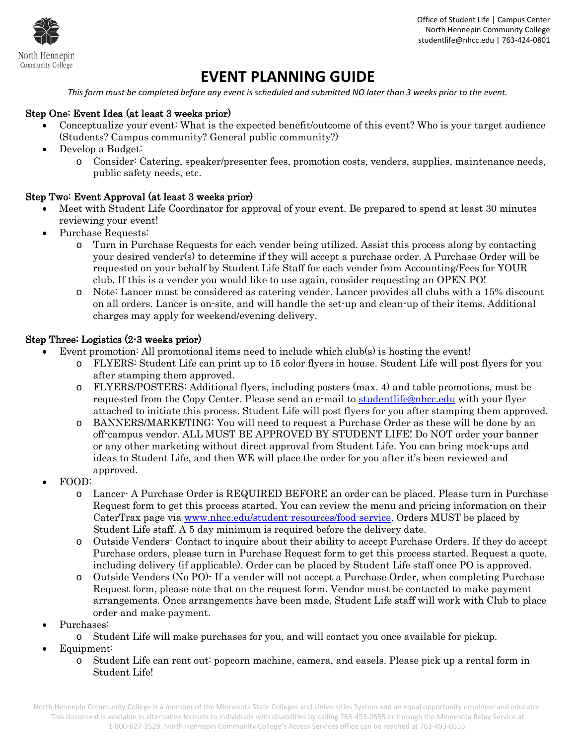

 Office of Student Life | Campus Center North Hennepin Community College studentlife@nhcc.edu | 763-424-0801

# **EVENT PLANNING GUIDE**

*This form must be completed before any event is scheduled and submitted NO later than 3 weeks prior to the event.* 

#### Step One: Event Idea (at least 3 weeks prior)

- Conceptualize your event: What is the expected benefit/outcome of this event? Who is your target audience (Students? Campus community? General public community?)
- Develop a Budget:
	- o Consider: Catering, speaker/presenter fees, promotion costs, venders, supplies, maintenance needs, public safety needs, etc.

#### Step Two: Event Approval (at least 3 weeks prior)

- Meet with Student Life Coordinator for approval of your event. Be prepared to spend at least 30 minutes reviewing your event!
- Purchase Requests:
	- o Turn in Purchase Requests for each vender being utilized. Assist this process along by contacting your desired vender(s) to determine if they will accept a purchase order. A Purchase Order will be requested on your behalf by Student Life Staff for each vender from Accounting/Fees for YOUR club. If this is a vender you would like to use again, consider requesting an OPEN PO!
	- o Note: Lancer must be considered as catering vender. Lancer provides all clubs with a 15% discount on all orders. Lancer is on-site, and will handle the set-up and clean-up of their items. Additional charges may apply for weekend/evening delivery.

#### Step Three: Logistics (2-3 weeks prior)

- Event promotion: All promotional items need to include which club(s) is hosting the event!
	- o FLYERS: Student Life can print up to 15 color flyers in house. Student Life will post flyers for you after stamping them approved.
	- o FLYERS/POSTERS: Additional flyers, including posters (max. 4) and table promotions, must be requested from the Copy Center. Please send an e-mail to [studentlife@nhcc.edu](mailto:studentlife@nhcc.edu) with your flyer attached to initiate this process. Student Life will post flyers for you after stamping them approved.
	- o BANNERS/MARKETING: You will need to request a Purchase Order as these will be done by an off-campus vendor. ALL MUST BE APPROVED BY STUDENT LIFE! Do NOT order your banner or any other marketing without direct approval from Student Life. You can bring mock-ups and ideas to Student Life, and then WE will place the order for you after it's been reviewed and approved.
- FOOD:
	- o Lancer- A Purchase Order is REQUIRED BEFORE an order can be placed. Please turn in Purchase Request form to get this process started. You can review the menu and pricing information on their CaterTrax page via [www.nhcc.edu/student-resources/food-service.](http://www.nhcc.edu/student-resources/food-service) Orders MUST be placed by Student Life staff. A 5 day minimum is required before the delivery date.
	- o Outside Venders- Contact to inquire about their ability to accept Purchase Orders. If they do accept Purchase orders, please turn in Purchase Request form to get this process started. Request a quote, including delivery (if applicable). Order can be placed by Student Life staff once PO is approved.
	- o Outside Venders (No PO)- If a vender will not accept a Purchase Order, when completing Purchase Request form, please note that on the request form. Vendor must be contacted to make payment arrangements. Once arrangements have been made, Student Life staff will work with Club to place order and make payment.
- Purchases:
	- o Student Life will make purchases for you, and will contact you once available for pickup.
- Equipment:
	- o Student Life can rent out: popcorn machine, camera, and easels. Please pick up a rental form in Student Life!